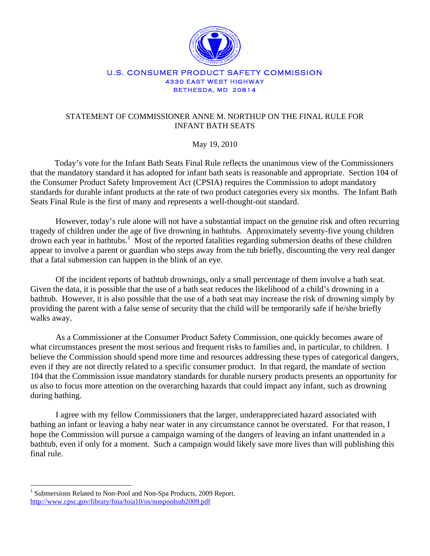

## U.S. CONSUMER PRODUCT SAFETY COMMISSION 4330 EAST WEST HIGHWAY BETHESDA, MD 20814

## STATEMENT OF COMMISSIONER ANNE M. NORTHUP ON THE FINAL RULE FOR INFANT BATH SEATS

## May 19, 2010

 Today's vote for the Infant Bath Seats Final Rule reflects the unanimous view of the Commissioners that the mandatory standard it has adopted for infant bath seats is reasonable and appropriate. Section 104 of the Consumer Product Safety Improvement Act (CPSIA) requires the Commission to adopt mandatory standards for durable infant products at the rate of two product categories every six months. The Infant Bath Seats Final Rule is the first of many and represents a well-thought-out standard.

However, today's rule alone will not have a substantial impact on the genuine risk and often recurring tragedy of children under the age of five drowning in bathtubs. Approximately seventy-five young children drown each year in bathtubs.<sup>1</sup> Most of the reported fatalities regarding submersion deaths of these children appear to involve a parent or guardian who steps away from the tub briefly, discounting the very real danger that a fatal submersion can happen in the blink of an eye.

Of the incident reports of bathtub drownings, only a small percentage of them involve a bath seat. Given the data, it is possible that the use of a bath seat reduces the likelihood of a child's drowning in a bathtub. However, it is also possible that the use of a bath seat may increase the risk of drowning simply by providing the parent with a false sense of security that the child will be temporarily safe if he/she briefly walks away.

As a Commissioner at the Consumer Product Safety Commission, one quickly becomes aware of what circumstances present the most serious and frequent risks to families and, in particular, to children. I believe the Commission should spend more time and resources addressing these types of categorical dangers, even if they are not directly related to a specific consumer product. In that regard, the mandate of section 104 that the Commission issue mandatory standards for durable nursery products presents an opportunity for us also to focus more attention on the overarching hazards that could impact any infant, such as drowning during bathing.

I agree with my fellow Commissioners that the larger, underappreciated hazard associated with bathing an infant or leaving a baby near water in any circumstance cannot be overstated. For that reason, I hope the Commission will pursue a campaign warning of the dangers of leaving an infant unattended in a bathtub, even if only for a moment. Such a campaign would likely save more lives than will publishing this final rule.

 $\overline{a}$ 

<sup>&</sup>lt;sup>1</sup> Submersions Related to Non-Pool and Non-Spa Products, 2009 Report. http://www.cpsc.gov/library/foia/foia10/os/nonpoolsub2009.pdf